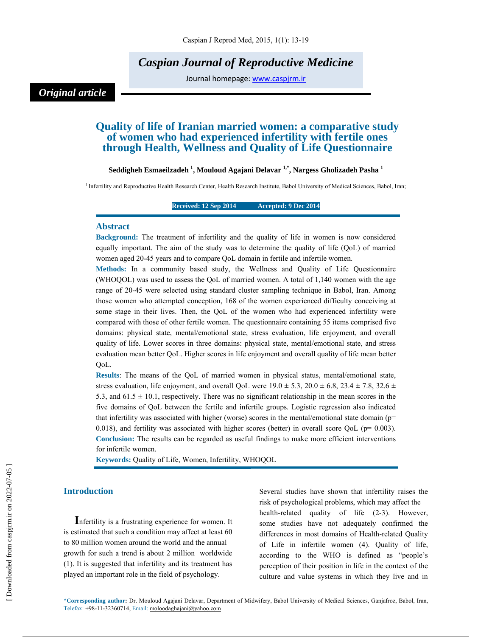# *Caspian Journal of Reproductive Medicine*

Journal homepage: www.caspjrm.ir

# *Original article*

## **Quality of life of Iranian married women: a comparative study of women who had experienced infertility with fertile ones through Health, Wellness and Quality of Life Questionnaire**

#### **Seddigheh Esmaeilzadeh 1 , Mouloud Agajani Delavar 1,\*, Nargess Gholizadeh Pasha 1**

<sup>1</sup> Infertility and Reproductive Health Research Center, Health Research Institute, Babol University of Medical Sciences, Babol, Iran;

#### **Received: 12 Sep 2014 Accepted: 9 Dec 2014**

#### **Abstract**

**Background:** The treatment of infertility and the quality of life in women is now considered equally important. The aim of the study was to determine the quality of life (QoL) of married women aged 20-45 years and to compare QoL domain in fertile and infertile women.

**Methods:** In a community based study, the Wellness and Quality of Life Questionnaire (WHOQOL) was used to assess the QoL of married women. A total of 1,140 women with the age range of 20-45 were selected using standard cluster sampling technique in Babol, Iran. Among those women who attempted conception, 168 of the women experienced difficulty conceiving at some stage in their lives. Then, the QoL of the women who had experienced infertility were compared with those of other fertile women. The questionnaire containing 55 items comprised five domains: physical state, mental/emotional state, stress evaluation, life enjoyment, and overall quality of life. Lower scores in three domains: physical state, mental/emotional state, and stress evaluation mean better QoL. Higher scores in life enjoyment and overall quality of life mean better QoL.

**Results**: The means of the QoL of married women in physical status, mental/emotional state, stress evaluation, life enjoyment, and overall QoL were  $19.0 \pm 5.3$ ,  $20.0 \pm 6.8$ ,  $23.4 \pm 7.8$ ,  $32.6 \pm 7.8$ 5.3, and  $61.5 \pm 10.1$ , respectively. There was no significant relationship in the mean scores in the five domains of QoL between the fertile and infertile groups. Logistic regression also indicated that infertility was associated with higher (worse) scores in the mental/emotional state domain (p= 0.018), and fertility was associated with higher scores (better) in overall score QoL ( $p= 0.003$ ). **Conclusion:** The results can be regarded as useful findings to make more efficient interventions for infertile women.

**Keywords:** Quality of Life, Women, Infertility, WHOQOL

### **Introduction**

**I**nfertility is a frustrating experience for women. It is estimated that such a condition may affect at least 60 to 80 million women around the world and the annual growth for such a trend is about 2 million worldwide (1). It is suggested that infertility and its treatment has played an important role in the field of psychology.

Several studies have shown that infertility raises the risk of psychological problems, which may affect the health-related quality of life (2-3). However, some studies have not adequately confirmed the differences in most domains of Health-related Quality of Life in infertile women (4). Quality of life, according to the WHO is defined as "people's perception of their position in life in the context of the culture and value systems in which they live and in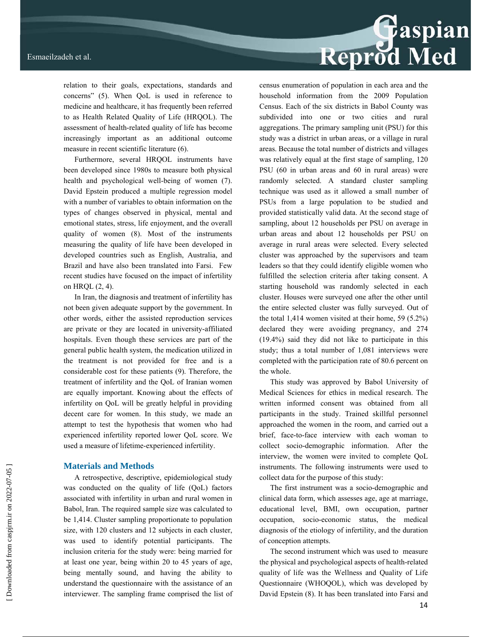

relation to their goals, expectations, standards and concerns" (5). When QoL is used in reference to medicine and healthcare, it has frequently been referred to as Health Related Quality of Life (HRQOL). The assessment of health-related quality of life has become increasingly important as an additional outcome measure in recent scientific literature (6).

Furthermore, several HRQOL instruments have been developed since 1980s to measure both physical health and psychological well-being of women (7). David Epstein produced a multiple regression model with a number of variables to obtain information on the types of changes observed in physical, mental and emotional states, stress, life enjoyment, and the overall quality of women (8). Most of the instruments measuring the quality of life have been developed in developed countries such as English, Australia, and Brazil and have also been translated into Farsi. Few recent studies have focused on the impact of infertility on HRQL (2, 4).

In Iran, the diagnosis and treatment of infertility has not been given adequate support by the government. In other words, either the assisted reproduction services are private or they are located in university-affiliated hospitals. Even though these services are part of the general public health system, the medication utilized in the treatment is not provided for free and is a considerable cost for these patients (9). Therefore, the treatment of infertility and the QoL of Iranian women are equally important. Knowing about the effects of infertility on QoL will be greatly helpful in providing decent care for women. In this study, we made an attempt to test the hypothesis that women who had experienced infertility reported lower QoL score. We used a measure of lifetime-experienced infertility.

#### **Materials and Methods**

A retrospective, descriptive, epidemiological study was conducted on the quality of life (QoL) factors associated with infertility in urban and rural women in Babol, Iran. The required sample size was calculated to be 1,414. Cluster sampling proportionate to population size, with 120 clusters and 12 subjects in each cluster, was used to identify potential participants. The inclusion criteria for the study were: being married for at least one year, being within 20 to 45 years of age, being mentally sound, and having the ability to understand the questionnaire with the assistance of an interviewer. The sampling frame comprised the list of census enumeration of population in each area and the household information from the 2009 Population Census. Each of the six districts in Babol County was subdivided into one or two cities and rural aggregations. The primary sampling unit (PSU) for this study was a district in urban areas, or a village in rural areas. Because the total number of districts and villages was relatively equal at the first stage of sampling, 120 PSU (60 in urban areas and 60 in rural areas) were randomly selected. A standard cluster sampling technique was used as it allowed a small number of PSUs from a large population to be studied and provided statistically valid data. At the second stage of sampling, about 12 households per PSU on average in urban areas and about 12 households per PSU on average in rural areas were selected. Every selected cluster was approached by the supervisors and team leaders so that they could identify eligible women who fulfilled the selection criteria after taking consent. A starting household was randomly selected in each cluster. Houses were surveyed one after the other until the entire selected cluster was fully surveyed. Out of the total 1,414 women visited at their home, 59 (5.2%) declared they were avoiding pregnancy, and 274 (19.4%) said they did not like to participate in this study; thus a total number of 1,081 interviews were completed with the participation rate of 80.6 percent on the whole.

This study was approved by Babol University of Medical Sciences for ethics in medical research. The written informed consent was obtained from all participants in the study. Trained skillful personnel approached the women in the room, and carried out a brief, face-to-face interview with each woman to collect socio-demographic information. After the interview, the women were invited to complete QoL instruments. The following instruments were used to collect data for the purpose of this study:

The first instrument was a socio-demographic and clinical data form, which assesses age, age at marriage, educational level, BMI, own occupation, partner occupation, socio-economic status, the medical diagnosis of the etiology of infertility, and the duration of conception attempts.

The second instrument which was used to measure the physical and psychological aspects of health-related quality of life was the Wellness and Quality of Life Questionnaire (WHOQOL), which was developed by David Epstein (8). It has been translated into Farsi and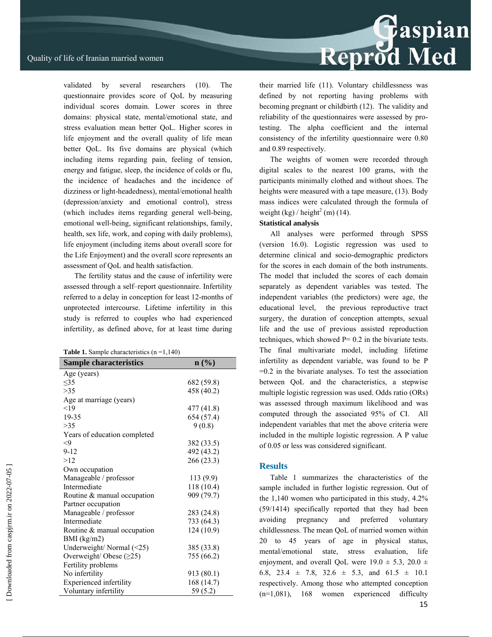validated by several researchers (10). The questionnaire provides score of QoL by measuring individual scores domain. Lower scores in three domains: physical state, mental/emotional state, and stress evaluation mean better QoL. Higher scores in life enjoyment and the overall quality of life mean better QoL. Its five domains are physical (which including items regarding pain, feeling of tension, energy and fatigue, sleep, the incidence of colds or flu, the incidence of headaches and the incidence of dizziness or light-headedness), mental/emotional health (depression/anxiety and emotional control), stress (which includes items regarding general well-being, emotional well-being, significant relationships, family, health, sex life, work, and coping with daily problems), life enjoyment (including items about overall score for the Life Enjoyment) and the overall score represents an assessment of QoL and health satisfaction.

The fertility status and the cause of infertility were assessed through a self–report questionnaire. Infertility referred to a delay in conception for least 12-months of unprotected intercourse. Lifetime infertility in this study is referred to couples who had experienced infertility, as defined above, for at least time during

|  | <b>Table 1.</b> Sample characteristics $(n=1,140)$ |
|--|----------------------------------------------------|
|--|----------------------------------------------------|

| <b>Sample characteristics</b>  | $\mathbf{n}(\%)$ |
|--------------------------------|------------------|
| Age (years)                    |                  |
| <35                            | 682 (59.8)       |
| >35                            | 458 (40.2)       |
| Age at marriage (years)        |                  |
| $<$ 19                         | 477 (41.8)       |
| 19-35                          | 654 (57.4)       |
| >35                            | 9(0.8)           |
| Years of education completed   |                  |
| $\leq$ 9                       | 382 (33.5)       |
| $9 - 12$                       | 492 (43.2)       |
| >12                            | 266 (23.3)       |
| Own occupation                 |                  |
| Manageable / professor         | 113 (9.9)        |
| Intermediate                   | 118 (10.4)       |
| Routine & manual occupation    | 909 (79.7)       |
| Partner occupation             |                  |
| Manageable / professor         | 283 (24.8)       |
| Intermediate                   | 733 (64.3)       |
| Routine & manual occupation    | 124(10.9)        |
| BMI (kg/m2)                    |                  |
| Underweight/Normal (<25)       | 385 (33.8)       |
| Overweight/Obese $(\geq 25)$   | 755 (66.2)       |
| Fertility problems             |                  |
| No infertility                 | 913 (80.1)       |
| <b>Experienced</b> infertility | 168 (14.7)       |
| Voluntary infertility          | 59 (5.2)         |

their married life (11). Voluntary childlessness was defined by not reporting having problems with becoming pregnant or childbirth (12). The validity and reliability of the questionnaires were assessed by protesting. The alpha coefficient and the internal consistency of the infertility questionnaire were 0.80 and 0.89 respectively.

The weights of women were recorded through digital scales to the nearest 100 grams, with the participants minimally clothed and without shoes. The heights were measured with a tape measure, (13). Body mass indices were calculated through the formula of weight  $(kg) /$  height<sup>2</sup> (m) (14).

#### **Statistical analysis**

All analyses were performed through SPSS (version 16.0). Logistic regression was used to determine clinical and socio-demographic predictors for the scores in each domain of the both instruments. The model that included the scores of each domain separately as dependent variables was tested. The independent variables (the predictors) were age, the educational level, the previous reproductive tract surgery, the duration of conception attempts, sexual life and the use of previous assisted reproduction techniques, which showed  $P = 0.2$  in the bivariate tests. The final multivariate model, including lifetime infertility as dependent variable, was found to be P =0.2 in the bivariate analyses. To test the association between QoL and the characteristics, a stepwise multiple logistic regression was used. Odds ratio (ORs) was assessed through maximum likelihood and was computed through the associated 95% of CI. All independent variables that met the above criteria were included in the multiple logistic regression. A P value of 0.05 or less was considered significant.

#### **Results**

Table 1 summarizes the characteristics of the sample included in further logistic regression. Out of the 1,140 women who participated in this study, 4.2% (59/1414) specifically reported that they had been avoiding pregnancy and preferred voluntary childlessness. The mean QoL of married women within 20 to 45 years of age in physical status, mental/emotional state, stress evaluation, life enjoyment, and overall QoL were  $19.0 \pm 5.3$ ,  $20.0 \pm 1$ 6.8, 23.4  $\pm$  7.8, 32.6  $\pm$  5.3, and 61.5  $\pm$  10.1 respectively. Among those who attempted conception (n=1,081), 168 women experienced difficulty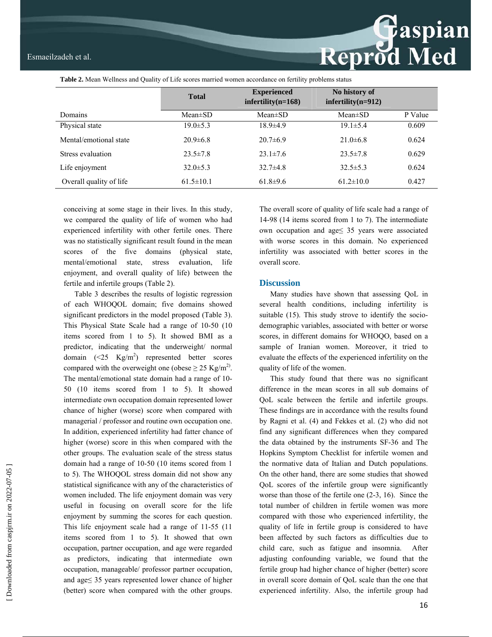**Table 2.** Mean Wellness and Quality of Life scores married women accordance on fertility problems status

|                         | <b>Total</b>    | <b>Experienced</b><br>$\text{infertility}(n=168)$ | No history of<br>$\text{inf}$ ertility(n=912) |         |
|-------------------------|-----------------|---------------------------------------------------|-----------------------------------------------|---------|
| Domains                 | $Mean \pm SD$   | $Mean \pm SD$                                     | Mean $\pm$ SD                                 | P Value |
| Physical state          | $19.0 \pm 5.3$  | $18.9{\pm}4.9$                                    | $19.1 \pm 5.4$                                | 0.609   |
| Mental/emotional state  | $20.9\pm 6.8$   | $20.7\pm 6.9$                                     | $21.0\pm 6.8$                                 | 0.624   |
| Stress evaluation       | $23.5 \pm 7.8$  | $23.1 \pm 7.6$                                    | $23.5 \pm 7.8$                                | 0.629   |
| Life enjoyment          | $32.0 \pm 5.3$  | $32.7\pm4.8$                                      | $32.5 \pm 5.3$                                | 0.624   |
| Overall quality of life | $61.5 \pm 10.1$ | $61.8+9.6$                                        | $61.2 \pm 10.0$                               | 0.427   |

conceiving at some stage in their lives. In this study, we compared the quality of life of women who had experienced infertility with other fertile ones. There was no statistically significant result found in the mean scores of the five domains (physical state, mental/emotional state, stress evaluation, life enjoyment, and overall quality of life) between the fertile and infertile groups (Table 2).

Table 3 describes the results of logistic regression of each WHOQOL domain; five domains showed significant predictors in the model proposed (Table 3). This Physical State Scale had a range of 10-50 (10 items scored from 1 to 5). It showed BMI as a predictor, indicating that the underweight/ normal domain  $(\leq 25 \text{ Kg/m}^2)$  represented better scores compared with the overweight one (obese  $\geq$  25 Kg/m<sup>2)</sup>. The mental/emotional state domain had a range of 10- 50 (10 items scored from 1 to 5). It showed intermediate own occupation domain represented lower chance of higher (worse) score when compared with managerial / professor and routine own occupation one. In addition, experienced infertility had fatter chance of higher (worse) score in this when compared with the other groups. The evaluation scale of the stress status domain had a range of 10-50 (10 items scored from 1 to 5). The WHOQOL stress domain did not show any statistical significance with any of the characteristics of women included. The life enjoyment domain was very useful in focusing on overall score for the life enjoyment by summing the scores for each question. This life enjoyment scale had a range of 11-55 (11 items scored from 1 to 5). It showed that own occupation, partner occupation, and age were regarded as predictors, indicating that intermediate own occupation, manageable/ professor partner occupation, and age≤ 35 years represented lower chance of higher (better) score when compared with the other groups.

The overall score of quality of life scale had a range of 14-98 (14 items scored from 1 to 7). The intermediate own occupation and age≤ 35 years were associated with worse scores in this domain. No experienced infertility was associated with better scores in the overall score.

**Reprod Med** 

#### **Discussion**

Many studies have shown that assessing QoL in several health conditions, including infertility is suitable (15). This study strove to identify the sociodemographic variables, associated with better or worse scores, in different domains for WHOQO, based on a sample of Iranian women. Moreover, it tried to evaluate the effects of the experienced infertility on the quality of life of the women.

This study found that there was no significant difference in the mean scores in all sub domains of QoL scale between the fertile and infertile groups. These findings are in accordance with the results found by Ragni et al. (4) and Fekkes et al. (2) who did not find any significant differences when they compared the data obtained by the instruments SF-36 and The Hopkins Symptom Checklist for infertile women and the normative data of Italian and Dutch populations. On the other hand, there are some studies that showed QoL scores of the infertile group were significantly worse than those of the fertile one (2-3, 16). Since the total number of children in fertile women was more compared with those who experienced infertility, the quality of life in fertile group is considered to have been affected by such factors as difficulties due to child care, such as fatigue and insomnia. After adjusting confounding variable, we found that the fertile group had higher chance of higher (better) score in overall score domain of QoL scale than the one that experienced infertility. Also, the infertile group had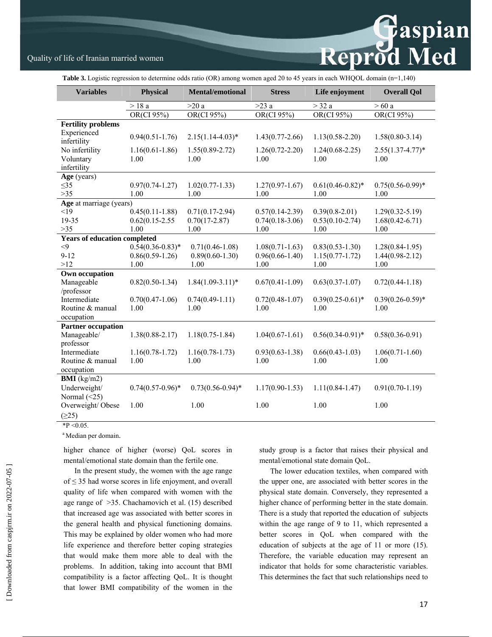# Reprod Med

## Quality of life of Iranian married women

**Table 3.** Logistic regression to determine odds ratio (OR) among women aged 20 to 45 years in each WHQOL domain (n=1,140)

| <b>Variables</b>                    | Physical            | <b>Mental/emotional</b> | <b>Stress</b>       | Life enjoyment        | <b>Overall Qol</b>   |
|-------------------------------------|---------------------|-------------------------|---------------------|-----------------------|----------------------|
|                                     | $>$ 18 a            | >20a                    | $>23$ a             | $>$ 32 a              | $>60$ a              |
|                                     | OR(CI 95%)          | OR(CI 95%)              | OR(CI 95%)          | OR(CI 95%)            | OR(CI 95%)           |
| <b>Fertility problems</b>           |                     |                         |                     |                       |                      |
| Experienced<br>infertility          | $0.94(0.51-1.76)$   | $2.15(1.14-4.03)*$      | $1.43(0.77-2.66)$   | $1.13(0.58 - 2.20)$   | $1.58(0.80-3.14)$    |
| No infertility                      | $1.16(0.61 - 1.86)$ | $1.55(0.89 - 2.72)$     | $1.26(0.72 - 2.20)$ | $1.24(0.68-2.25)$     | $2.55(1.37 - 4.77)*$ |
| Voluntary                           | 1.00                | 1.00                    | 1.00                | 1.00                  | 1.00                 |
| infertility                         |                     |                         |                     |                       |                      |
| Age (years)                         |                     |                         |                     |                       |                      |
| $\leq$ 35                           | $0.97(0.74 - 1.27)$ | $1.02(0.77 - 1.33)$     | $1.27(0.97-1.67)$   | $0.61(0.46-0.82)$ *   | $0.75(0.56-0.99)*$   |
| $>35$                               | 1.00                | 1.00                    | 1.00                | 1.00                  | 1.00                 |
| Age at marriage (years)             |                     |                         |                     |                       |                      |
| <19                                 | $0.45(0.11-1.88)$   | $0.71(0.17-2.94)$       | $0.57(0.14-2.39)$   | $0.39(0.8-2.01)$      | $1.29(0.32 - 5.19)$  |
| 19-35                               | $0.62(0.15 - 2.55)$ | $0.70(17-2.87)$         | $0.74(0.18-3.06)$   | $0.53(0.10-2.74)$     | $1.68(0.42 - 6.71)$  |
| $>35$                               | 1.00                | 1.00                    | 1.00                | 1.00                  | 1.00                 |
| <b>Years of education completed</b> |                     |                         |                     |                       |                      |
| $<$ 9                               | $0.54(0.36-0.83)*$  | $0.71(0.46 - 1.08)$     | $1.08(0.71 - 1.63)$ | $0.83(0.53 - 1.30)$   | $1.28(0.84 - 1.95)$  |
| $9 - 12$                            | $0.86(0.59-1.26)$   | $0.89(0.60 - 1.30)$     | $0.96(0.66 - 1.40)$ | $1.15(0.77-1.72)$     | $1.44(0.98-2.12)$    |
| >12                                 | 1.00                | 1.00                    | 1.00                | 1.00                  | 1.00                 |
| Own occupation                      |                     |                         |                     |                       |                      |
| Manageable                          | $0.82(0.50-1.34)$   | $1.84(1.09-3.11)^*$     | $0.67(0.41-1.09)$   | $0.63(0.37-1.07)$     | $0.72(0.44 - 1.18)$  |
| /professor                          |                     |                         |                     |                       |                      |
| Intermediate                        | $0.70(0.47-1.06)$   | $0.74(0.49-1.11)$       | $0.72(0.48 - 1.07)$ | $0.39(0.25-0.61)$ *   | $0.39(0.26 - 0.59)*$ |
| Routine & manual                    | 1.00                | 1.00                    | 1.00                | 1.00                  | 1.00                 |
| occupation                          |                     |                         |                     |                       |                      |
| <b>Partner occupation</b>           |                     |                         |                     |                       |                      |
| Manageable/                         | $1.38(0.88 - 2.17)$ | $1.18(0.75 - 1.84)$     | $1.04(0.67 - 1.61)$ | $0.56(0.34 - 0.91)^*$ | $0.58(0.36-0.91)$    |
| professor                           |                     |                         |                     |                       |                      |
| Intermediate                        | $1.16(0.78-1.72)$   | $1.16(0.78-1.73)$       | $0.93(0.63 - 1.38)$ | $0.66(0.43-1.03)$     | $1.06(0.71 - 1.60)$  |
| Routine & manual                    | 1.00                | 1.00                    | 1.00                | 1.00                  | 1.00                 |
| occupation                          |                     |                         |                     |                       |                      |
| <b>BMI</b> ( $kg/m2$ )              |                     |                         |                     |                       |                      |
| Underweight/                        | $0.74(0.57-0.96)$ * | $0.73(0.56-0.94)$ *     | $1.17(0.90 - 1.53)$ | $1.11(0.84 - 1.47)$   | $0.91(0.70-1.19)$    |
| Normal $(\leq 25)$                  |                     |                         |                     |                       |                      |
| Overweight/Obese                    | 1.00                | 1.00                    | 1.00                | 1.00                  | 1.00                 |
| (225)                               |                     |                         |                     |                       |                      |

 $*P < 0.05$ .

<sup>a</sup> Median per domain.

higher chance of higher (worse) QoL scores in mental/emotional state domain than the fertile one.

In the present study, the women with the age range of ≤ 35 had worse scores in life enjoyment, and overall quality of life when compared with women with the age range of >35. Chachamovich et al. (15) described that increased age was associated with better scores in the general health and physical functioning domains. This may be explained by older women who had more life experience and therefore better coping strategies that would make them more able to deal with the problems. In addition, taking into account that BMI compatibility is a factor affecting QoL. It is thought that lower BMI compatibility of the women in the study group is a factor that raises their physical and mental/emotional state domain QoL.

The lower education textiles, when compared with the upper one, are associated with better scores in the physical state domain. Conversely, they represented a higher chance of performing better in the state domain. There is a study that reported the education of subjects within the age range of 9 to 11, which represented a better scores in QoL when compared with the education of subjects at the age of 11 or more (15). Therefore, the variable education may represent an indicator that holds for some characteristic variables. This determines the fact that such relationships need to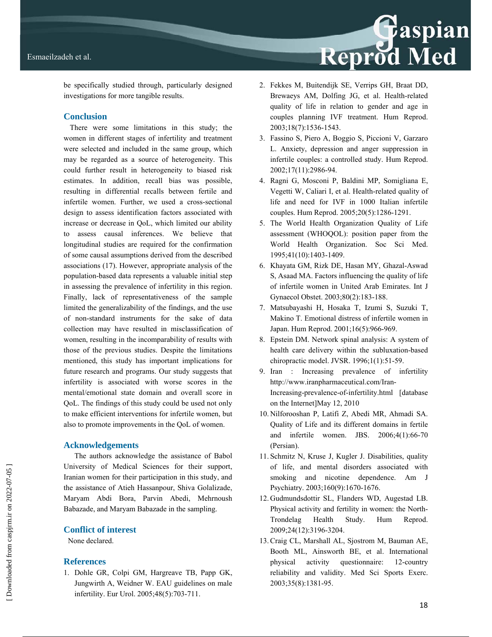

be specifically studied through, particularly designed investigations for more tangible results.

#### **Conclusion**

There were some limitations in this study; the women in different stages of infertility and treatment were selected and included in the same group, which may be regarded as a source of heterogeneity. This could further result in heterogeneity to biased risk estimates. In addition, recall bias was possible, resulting in differential recalls between fertile and infertile women. Further, we used a cross-sectional design to assess identification factors associated with increase or decrease in QoL, which limited our ability to assess causal inferences. We believe that longitudinal studies are required for the confirmation of some causal assumptions derived from the described associations (17). However, appropriate analysis of the population-based data represents a valuable initial step in assessing the prevalence of infertility in this region. Finally, lack of representativeness of the sample limited the generalizability of the findings, and the use of non-standard instruments for the sake of data collection may have resulted in misclassification of women, resulting in the incomparability of results with those of the previous studies. Despite the limitations mentioned, this study has important implications for future research and programs. Our study suggests that infertility is associated with worse scores in the mental/emotional state domain and overall score in QoL. The findings of this study could be used not only to make efficient interventions for infertile women, but also to promote improvements in the QoL of women.

#### **Acknowledgements**

The authors acknowledge the assistance of Babol University of Medical Sciences for their support, Iranian women for their participation in this study, and the assistance of Atieh Hassanpour, Shiva Golalizade, Maryam Abdi Bora, Parvin Abedi, Mehrnoush Babazade, and Maryam Babazade in the sampling.

#### **Conflict of interest**

None declared.

## **References**

1. Dohle GR, Colpi GM, Hargreave TB, Papp GK, Jungwirth A, Weidner W. EAU guidelines on male infertility. Eur Urol. 2005;48(5):703-711.

- 2. Fekkes M, Buitendijk SE, Verrips GH, Braat DD, Brewaeys AM, Dolfing JG, et al. Health-related quality of life in relation to gender and age in couples planning IVF treatment. Hum Reprod. 2003;18(7):1536-1543.
- 3. Fassino S, Piero A, Boggio S, Piccioni V, Garzaro L. Anxiety, depression and anger suppression in infertile couples: a controlled study. Hum Reprod. 2002;17(11):2986-94.
- 4. Ragni G, Mosconi P, Baldini MP, Somigliana E, Vegetti W, Caliari I, et al. Health-related quality of life and need for IVF in 1000 Italian infertile couples. Hum Reprod. 2005;20(5):1286-1291.
- 5. The World Health Organization Quality of Life assessment (WHOQOL): position paper from the World Health Organization. Soc Sci Med. 1995;41(10):1403-1409.
- 6. Khayata GM, Rizk DE, Hasan MY, Ghazal-Aswad S, Asaad MA. Factors influencing the quality of life of infertile women in United Arab Emirates. Int J Gynaecol Obstet. 2003;80(2):183-188.
- 7. Matsubayashi H, Hosaka T, Izumi S, Suzuki T, Makino T. Emotional distress of infertile women in Japan. Hum Reprod. 2001;16(5):966-969.
- 8. Epstein DM. Network spinal analysis: A system of health care delivery within the subluxation-based chiropractic model. JVSR. 1996;1(1):51-59.
- 9. Iran : Increasing prevalence of infertility http://www.iranpharmaceutical.com/Iran-Increasing-prevalence-of-infertility.html [database on the Internet]May 12, 2010
- 10. Nilforooshan P, Latifi Z, Abedi MR, Ahmadi SA. Quality of Life and its different domains in fertile and infertile women. JBS. 2006;4(1):66-70 (Persian).
- 11. Schmitz N, Kruse J, Kugler J. Disabilities, quality of life, and mental disorders associated with smoking and nicotine dependence. Am J Psychiatry. 2003;160(9):1670-1676.
- 12. Gudmundsdottir SL, Flanders WD, Augestad LB. Physical activity and fertility in women: the North-Trondelag Health Study. Hum Reprod. 2009;24(12):3196-3204.
- 13. Craig CL, Marshall AL, Sjostrom M, Bauman AE, Booth ML, Ainsworth BE, et al. International physical activity questionnaire: 12-country reliability and validity. Med Sci Sports Exerc. 2003;35(8):1381-95.